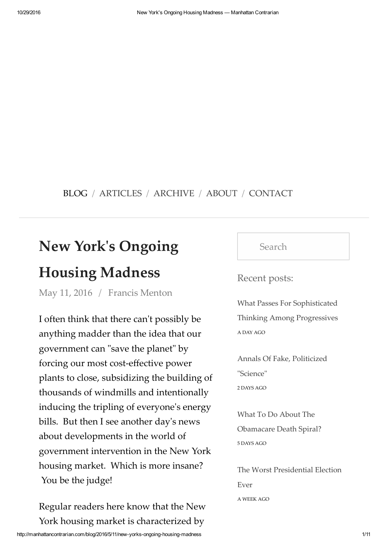## BLOG / ARTICLES / ARCHIVE / ABOUT / CONTACT

## **New Yorkʹs Ongoing**

## **Housing Madness**

May 11, 2016 / Francis Menton

I often think that there can't possibly be anything madder than the idea that our government can "save the planet" by forcing our most cost-effective power plants to close, subsidizing the building of thousands of windmills and intentionally inducing the tripling of everyone's energy bills. But then I see another day's news about developments in the world of government intervention in the New York housing market. Which is more insane? You be the judge!

http://manhattancontrarian.com/blog/2016/5/11/new-yorks-ongoing-housing-madness 1/11 Regular readers here know that the New York housing market is characterized by

Search

Recent posts:

What Passes For Sophisticated Thinking Among Progressives A DAY AGO

Annals Of Fake, Politicized "Science" 2 DAYS AGO

What To Do About The Obamacare Death Spiral? 5 DAYS AGO

The Worst Presidential Election Ever A WEEK AGO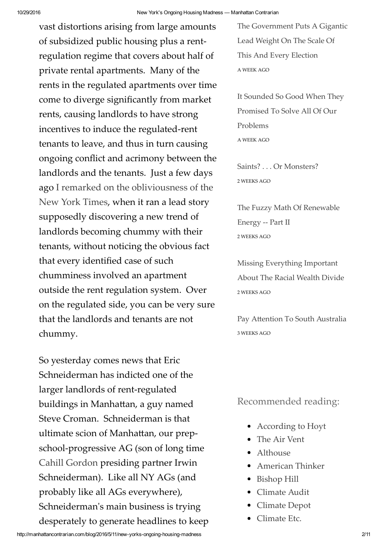vast distortions arising from large amounts of subsidized public housing plus a rentregulation regime that covers about half of private rental apartments. Many of the rents in the regulated apartments over time come to diverge significantly from market rents, causing landlords to have strong incentives to induce the regulated-rent tenants to leave, and thus in turn causing ongoing conflict and acrimony between the landlords and the tenants. Just a few days ago I remarked on the obliviousness of the New York Times, when it ran a lead story supposedly discovering a new trend of landlords becoming chummy with their tenants, without noticing the obvious fact that every identified case of such chumminess involved an apartment outside the rent regulation system. Over on the regulated side, you can be very sure that the landlords and tenants are not chummy.

http://manhattancontrarian.com/blog/2016/5/11/new-yorks-ongoing-housing-madness 2/11 So yesterday comes news that Eric Schneiderman has indicted one of the larger landlords of rent-regulated buildings in Manhattan, a guy named Steve Croman. Schneiderman is that ultimate scion of Manhattan, our prepschool-progressive AG (son of long time Cahill Gordon presiding partner Irwin Schneiderman). Like all NY AGs (and probably like all AGs everywhere), Schneidermanʹs main business is trying desperately to generate headlines to keep

The Government Puts A Gigantic Lead Weight On The Scale Of This And Every Election A WEEK AGO

It Sounded So Good When They Promised To Solve All Of Our Problems A WEEK AGO

Saints? . . . Or Monsters? 2 WEEKS AGO

The Fuzzy Math Of Renewable Energy -- Part II 2 WEEKS AGO

Missing Everything Important About The Racial Wealth Divide 2 WEEKS AGO

Pay Attention To South Australia 3 WEEKS AGO

## Recommended reading:

- According to Hoyt
- The Air Vent
- Althouse
- American Thinker
- Bishop Hill
- Climate Audit
- Climate Depot
- Climate Etc.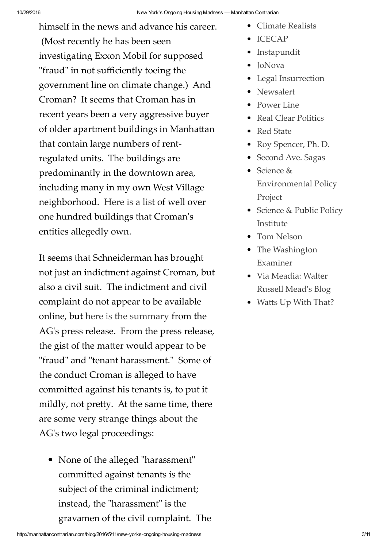himself in the news and advance his career. (Most recently he has been seen investigating Exxon Mobil for supposed "fraud" in not sufficiently toeing the government line on climate change.) And Croman? It seems that Croman has in recent years been a very aggressive buyer of older apartment buildings in Manhattan that contain large numbers of rentregulated units. The buildings are predominantly in the downtown area, including many in my own West Village neighborhood. Here is a list of well over one hundred buildings that Cromanʹs entities allegedly own.

It seems that Schneiderman has brought not just an indictment against Croman, but also a civil suit. The indictment and civil complaint do not appear to be available online, but here is the summary from the AG's press release. From the press release, the gist of the matter would appear to be "fraud" and "tenant harassment." Some of the conduct Croman is alleged to have committed against his tenants is, to put it mildly, not pretty. At the same time, there are some very strange things about the AG's two legal proceedings:

• None of the alleged "harassment" committed against tenants is the subject of the criminal indictment; instead, the "harassment" is the gravamen of the civil complaint. The

- Climate Realists
- ICECAP
- Instapundit
- JoNova
- Legal Insurrection
- Newsalert
- Power Line
- Real Clear Politics
- Red State
- Roy Spencer, Ph. D.
- Second Ave. Sagas
- Science & Environmental Policy Project
- Science & Public Policy Institute
- Tom Nelson
- The Washington Examiner
- Via Meadia: Walter Russell Meadʹs Blog
- Watts Up With That?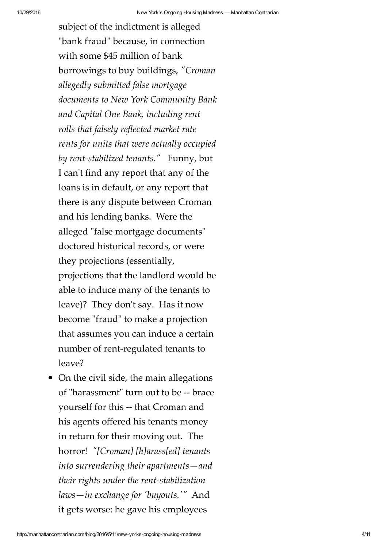subject of the indictment is alleged "bank fraud" because, in connection with some \$45 million of bank borrowings to buy buildings, *ʺCroman allegedly submitted false mortgage documents to New York Community Bank and Capital One Bank, including rent rolls that falsely reflected market rate rents for units that were actually occupied* by rent-stabilized tenants.<sup>"</sup> Funny, but I can't find any report that any of the loans is in default, or any report that there is any dispute between Croman and his lending banks. Were the alleged "false mortgage documents" doctored historical records, or were they projections (essentially, projections that the landlord would be able to induce many of the tenants to leave)? They don't say. Has it now become "fraud" to make a projection that assumes you can induce a certain number of rent-regulated tenants to leave?

• On the civil side, the main allegations of "harassment" turn out to be -- brace yourself for this -- that Croman and his agents offered his tenants money in return for their moving out. The horror! *ʺ[Croman] [h]arass[ed] tenants into surrendering their apartments—and their rights under the rent-stabilization laws—in exchange for ʹbuyouts.ʹʺ* And it gets worse: he gave his employees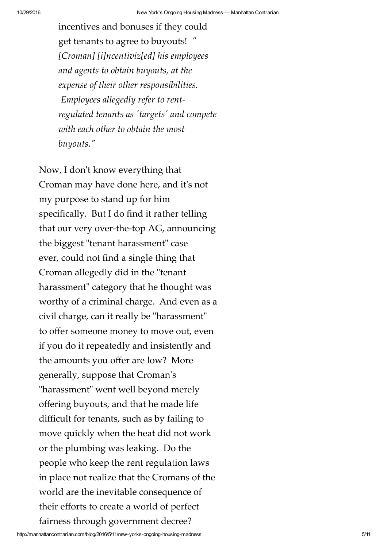incentives and bonuses if they could get tenants to agree to buyouts! *ʺ [Croman] [i]ncentiviz[ed] his employees and agents to obtain buyouts, at the expense of their other responsibilities. Employees allegedly refer to rentregulated tenants as ʹtargetsʹ and compete with each other to obtain the most buyouts.ʺ*

Now, I don't know everything that Croman may have done here, and itʹs not my purpose to stand up for him specifically. But I do find it rather telling that our very over-the-top AG, announcing the biggest "tenant harassment" case ever, could not find a single thing that Croman allegedly did in the "tenant" harassment" category that he thought was worthy of a criminal charge. And even as a civil charge, can it really be "harassment" to offer someone money to move out, even if you do it repeatedly and insistently and the amounts you offer are low? More generally, suppose that Cromanʹs "harassment" went well beyond merely offering buyouts, and that he made life difficult for tenants, such as by failing to move quickly when the heat did not work or the plumbing was leaking. Do the people who keep the rent regulation laws in place not realize that the Cromans of the world are the inevitable consequence of their efforts to create a world of perfect fairness through government decree?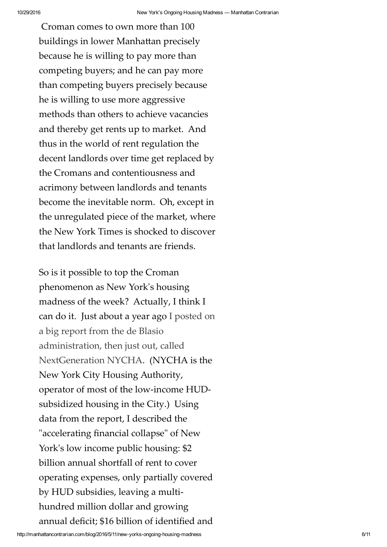Croman comes to own more than 100 buildings in lower Manhattan precisely because he is willing to pay more than competing buyers; and he can pay more than competing buyers precisely because he is willing to use more aggressive methods than others to achieve vacancies and thereby get rents up to market. And thus in the world of rent regulation the decent landlords over time get replaced by the Cromans and contentiousness and acrimony between landlords and tenants become the inevitable norm. Oh, except in the unregulated piece of the market, where the New York Times is shocked to discover that landlords and tenants are friends.

So is it possible to top the Croman phenomenon as New Yorkʹs housing madness of the week? Actually, I think I can do it. Just about a year ago I posted on a big report from the de Blasio administration, then just out, called NextGeneration NYCHA. (NYCHA is the New York City Housing Authority, operator of most of the low-income HUDsubsidized housing in the City.) Using data from the report, I described the "accelerating financial collapse" of New York's low income public housing: \$2 billion annual shortfall of rent to cover operating expenses, only partially covered by HUD subsidies, leaving a multihundred million dollar and growing annual deficit; \$16 billion of identified and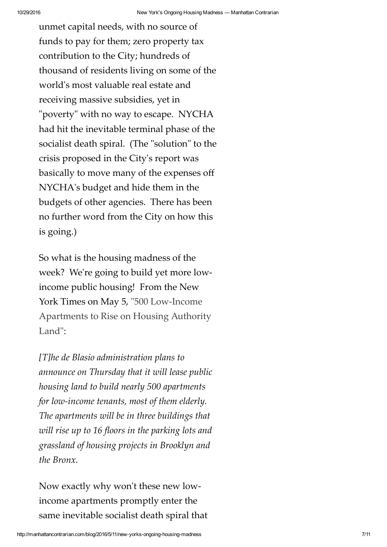unmet capital needs, with no source of funds to pay for them; zero property tax contribution to the City; hundreds of thousand of residents living on some of the world's most valuable real estate and receiving massive subsidies, yet in "poverty" with no way to escape. NYCHA had hit the inevitable terminal phase of the socialist death spiral. (The "solution" to the crisis proposed in the Cityʹs report was basically to move many of the expenses off NYCHAʹs budget and hide them in the budgets of other agencies. There has been no further word from the City on how this is going.)

So what is the housing madness of the week? We're going to build yet more lowincome public housing! From the New York Times on May 5, "500 Low-Income Apartments to Rise on Housing Authority Land":

*[T]he de Blasio administration plans to announce on Thursday that it will lease public housing land to build nearly 500 apartments for low-income tenants, most of them elderly. The apartments will be in three buildings that will rise up to 16 floors in the parking lots and grassland of housing projects in Brooklyn and the Bronx.*

Now exactly why won't these new lowincome apartments promptly enter the same inevitable socialist death spiral that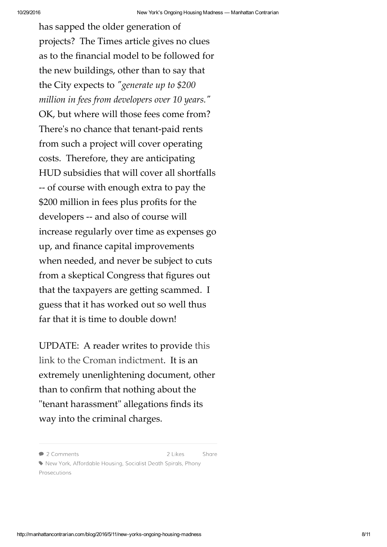has sapped the older generation of projects? The Times article gives no clues as to the financial model to be followed for the new buildings, other than to say that the City expects to "generate up to \$200 *million in fees from developers over 10 years.*" OK, but where will those fees come from? Thereʹs no chance that tenant-paid rents from such a project will cover operating costs. Therefore, they are anticipating HUD subsidies that will cover all shortfalls -- of course with enough extra to pay the \$200 million in fees plus profits for the developers -- and also of course will increase regularly over time as expenses go up, and finance capital improvements when needed, and never be subject to cuts from a skeptical Congress that figures out that the taxpayers are getting scammed. I guess that it has worked out so well thus far that it is time to double down!

UPDATE: A reader writes to provide this link to the Croman indictment. It is an extremely unenlightening document, other than to confirm that nothing about the "tenant harassment" allegations finds its way into the criminal charges.

2 Likes

Share

<sup>• 2</sup> Comments

New York, Affordable Housing, Socialist Death Spirals, Phony Prosecutions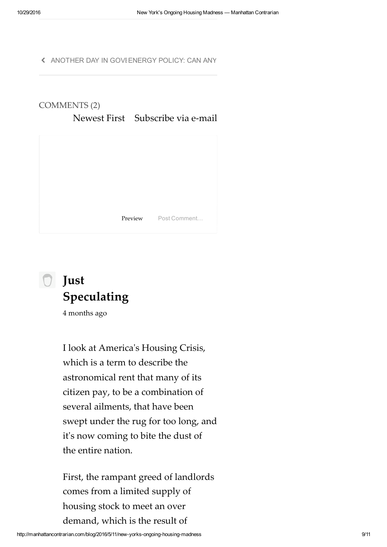« ANOTHER DAY IN GOVI ENERGY POLICY: CAN ANY





4 months ago

I look at Americaʹs Housing Crisis, which is a term to describe the astronomical rent that many of its citizen pay, to be a combination of several ailments, that have been swept under the rug for too long, and it's now coming to bite the dust of the entire nation.

First, the rampant greed of landlords comes from a limited supply of housing stock to meet an over demand, which is the result of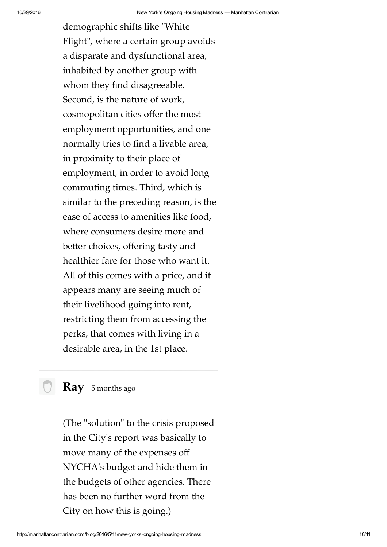demographic shifts like "White" Flight", where a certain group avoids a disparate and dysfunctional area, inhabited by another group with whom they find disagreeable. Second, is the nature of work, cosmopolitan cities offer the most employment opportunities, and one normally tries to find a livable area, in proximity to their place of employment, in order to avoid long commuting times. Third, which is similar to the preceding reason, is the ease of access to amenities like food, where consumers desire more and better choices, offering tasty and healthier fare for those who want it. All of this comes with a price, and it appears many are seeing much of their livelihood going into rent, restricting them from accessing the perks, that comes with living in a desirable area, in the 1st place.

**Ray** 5 months ago

(The "solution" to the crisis proposed in the Cityʹs report was basically to move many of the expenses off NYCHAʹs budget and hide them in the budgets of other agencies. There has been no further word from the City on how this is going.)